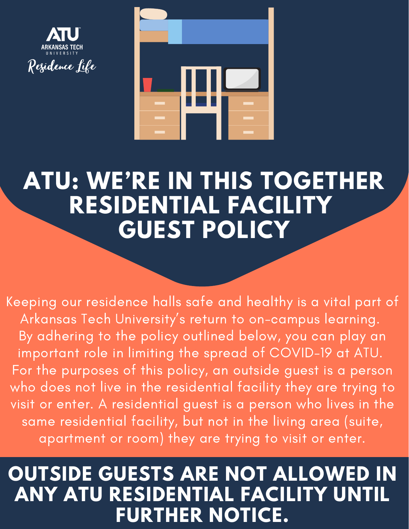



## **ATU: WE'RE IN THIS TOGETHER RESIDENTIAL FACILITY GUEST POLICY**

Keeping our residence halls safe and healthy is a vital part of Arkansas Tech University ' s return to on-campus learning. By adhering to the policy outlined below, you can play an important role in limiting the spread of COVID-19 at ATU. For the purposes of this policy, an outside guest is a person who does not live in the residential facility they are trying to visit or enter. A residential guest is a person who lives in the same residential facility, but not in the living area (suite, apartment or room) they are trying to visit or enter.

## **OUTSIDE GUESTS ARE NOT ALLOWED IN ANY ATU RESIDENTIAL FACILITY UNTIL FURTHER NOTICE.**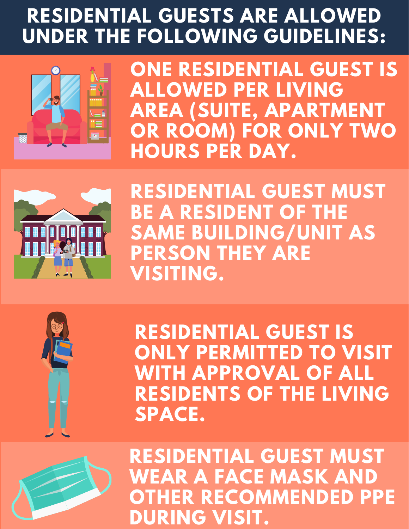## **RESIDENTIAL GUESTS ARE ALLOWED UNDER THE FOLLOWING GUIDELINES:**



**ONE RESIDENTIAL GUEST IS ALLOWED PER LIVING AREA (SUITE, APARTMENT OR ROOM) FOR ONLY TWO HOURS PER DAY.**



**RESIDENTIAL GUEST MUST BE A RESIDENT OF THE SAME BUILDING/UNIT AS PERSON THEY ARE VISITING.**



**RESIDENTIAL GUEST IS ONLY PERMITTED TO VISIT WITH APPROVAL OF ALL RESIDENTS OF THE LIVING SPACE.**



**RESIDENTIAL GUEST MUST WEAR A FACE MASK AND OTHER RECOMMENDED PPE DURING VISIT.**